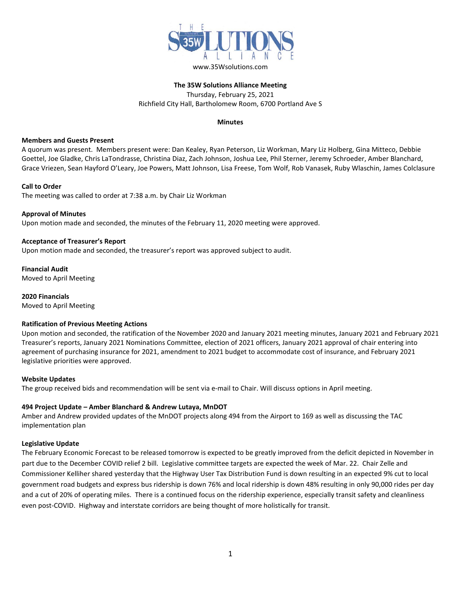

# **The 35W Solutions Alliance Meeting** Thursday, February 25, 2021 Richfield City Hall, Bartholomew Room, 6700 Portland Ave S

# **Minutes**

#### **Members and Guests Present**

A quorum was present. Members present were: Dan Kealey, Ryan Peterson, Liz Workman, Mary Liz Holberg, Gina Mitteco, Debbie Goettel, Joe Gladke, Chris LaTondrasse, Christina Diaz, Zach Johnson, Joshua Lee, Phil Sterner, Jeremy Schroeder, Amber Blanchard, Grace Vriezen, Sean Hayford O'Leary, Joe Powers, Matt Johnson, Lisa Freese, Tom Wolf, Rob Vanasek, Ruby Wlaschin, James Colclasure

#### **Call to Order**

The meeting was called to order at 7:38 a.m. by Chair Liz Workman

#### **Approval of Minutes**

Upon motion made and seconded, the minutes of the February 11, 2020 meeting were approved.

#### **Acceptance of Treasurer's Report**

Upon motion made and seconded, the treasurer's report was approved subject to audit.

**Financial Audit** Moved to April Meeting

**2020 Financials** Moved to April Meeting

# **Ratification of Previous Meeting Actions**

Upon motion and seconded, the ratification of the November 2020 and January 2021 meeting minutes, January 2021 and February 2021 Treasurer's reports, January 2021 Nominations Committee, election of 2021 officers, January 2021 approval of chair entering into agreement of purchasing insurance for 2021, amendment to 2021 budget to accommodate cost of insurance, and February 2021 legislative priorities were approved.

# **Website Updates**

The group received bids and recommendation will be sent via e-mail to Chair. Will discuss options in April meeting.

# **494 Project Update – Amber Blanchard & Andrew Lutaya, MnDOT**

Amber and Andrew provided updates of the MnDOT projects along 494 from the Airport to 169 as well as discussing the TAC implementation plan

#### **Legislative Update**

The February Economic Forecast to be released tomorrow is expected to be greatly improved from the deficit depicted in November in part due to the December COVID relief 2 bill. Legislative committee targets are expected the week of Mar. 22. Chair Zelle and Commissioner Kelliher shared yesterday that the Highway User Tax Distribution Fund is down resulting in an expected 9% cut to local government road budgets and express bus ridership is down 76% and local ridership is down 48% resulting in only 90,000 rides per day and a cut of 20% of operating miles. There is a continued focus on the ridership experience, especially transit safety and cleanliness even post-COVID. Highway and interstate corridors are being thought of more holistically for transit.